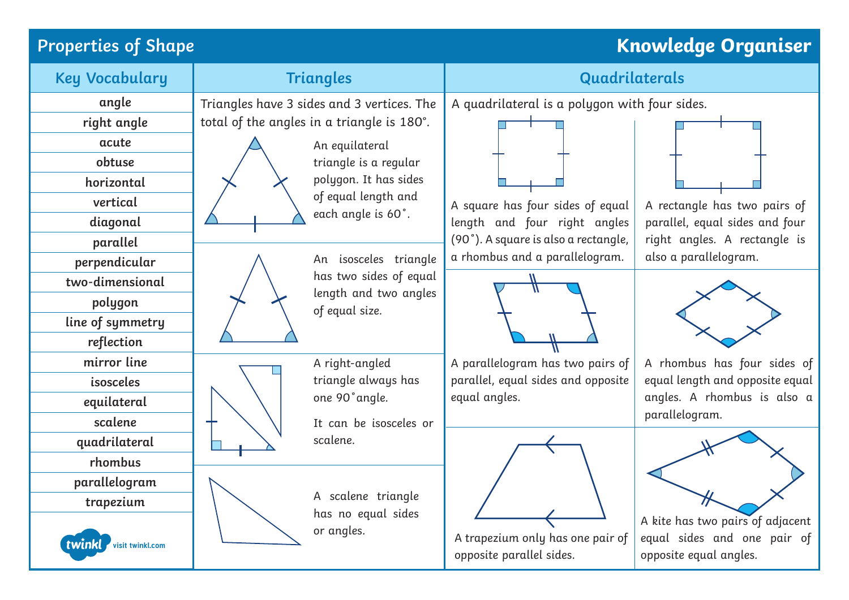# **Properties of Shape Knowledge Organiser**